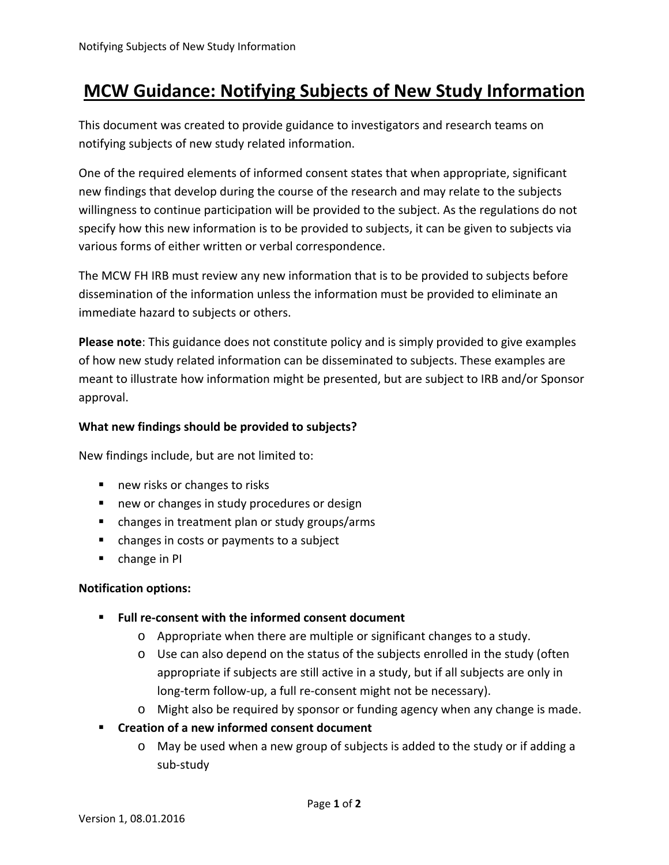# **MCW Guidance: Notifying Subjects of New Study Information**

This document was created to provide guidance to investigators and research teams on notifying subjects of new study related information.

One of the required elements of informed consent states that when appropriate, significant new findings that develop during the course of the research and may relate to the subjects willingness to continue participation will be provided to the subject. As the regulations do not specify how this new information is to be provided to subjects, it can be given to subjects via various forms of either written or verbal correspondence.

The MCW FH IRB must review any new information that is to be provided to subjects before dissemination of the information unless the information must be provided to eliminate an immediate hazard to subjects or others.

**Please note**: This guidance does not constitute policy and is simply provided to give examples of how new study related information can be disseminated to subjects. These examples are meant to illustrate how information might be presented, but are subject to IRB and/or Sponsor approval.

## **What new findings should be provided to subjects?**

New findings include, but are not limited to:

- new risks or changes to risks
- **new or changes in study procedures or design**
- changes in treatment plan or study groups/arms
- changes in costs or payments to a subject
- **•** change in PI

### **Notification options:**

- **Full re‐consent with the informed consent document**
	- o Appropriate when there are multiple or significant changes to a study.
	- o Use can also depend on the status of the subjects enrolled in the study (often appropriate if subjects are still active in a study, but if all subjects are only in long-term follow-up, a full re-consent might not be necessary).
	- o Might also be required by sponsor or funding agency when any change is made.
- **Creation of a new informed consent document**
	- o May be used when a new group of subjects is added to the study or if adding a sub‐study